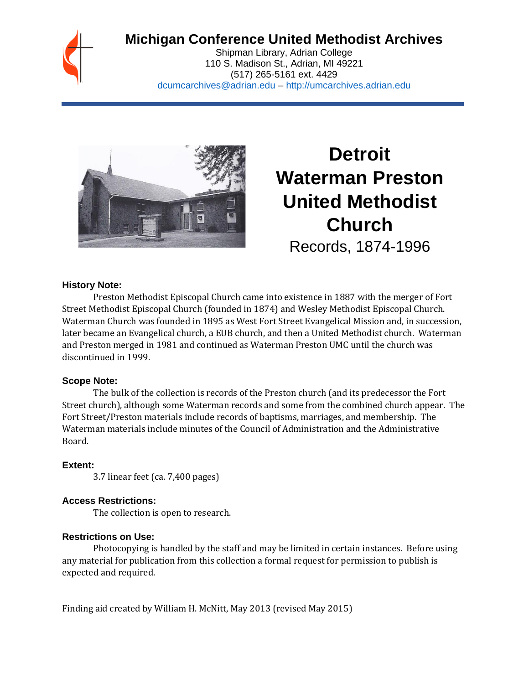

# **Michigan Conference United Methodist Archives**

Shipman Library, Adrian College 110 S. Madison St., Adrian, MI 49221 (517) 265-5161 ext. 4429 [dcumcarchives@adrian.edu](mailto:dcumcarchives@adrian.edu) – [http://umcarchives.adrian.edu](http://umcarchives.adrian.edu/)



# **Detroit Waterman Preston United Methodist Church** Records, 1874-1996

#### **History Note:**

Preston Methodist Episcopal Church came into existence in 1887 with the merger of Fort Street Methodist Episcopal Church (founded in 1874) and Wesley Methodist Episcopal Church. Waterman Church was founded in 1895 as West Fort Street Evangelical Mission and, in succession, later became an Evangelical church, a EUB church, and then a United Methodist church. Waterman and Preston merged in 1981 and continued as Waterman Preston UMC until the church was discontinued in 1999.

#### **Scope Note:**

The bulk of the collection is records of the Preston church (and its predecessor the Fort Street church), although some Waterman records and some from the combined church appear. The Fort Street/Preston materials include records of baptisms, marriages, and membership. The Waterman materials include minutes of the Council of Administration and the Administrative Board.

#### **Extent:**

3.7 linear feet (ca. 7,400 pages)

#### **Access Restrictions:**

The collection is open to research.

# **Restrictions on Use:**

Photocopying is handled by the staff and may be limited in certain instances. Before using any material for publication from this collection a formal request for permission to publish is expected and required.

Finding aid created by William H. McNitt, May 2013 (revised May 2015)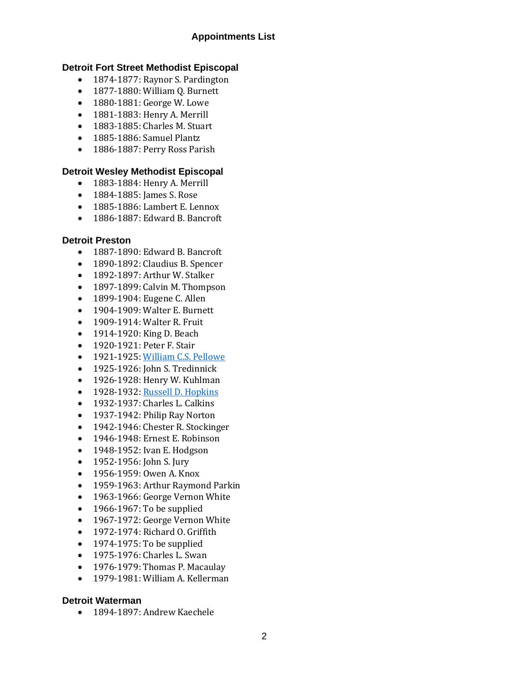# **Appointments List**

#### **Detroit Fort Street Methodist Episcopal**

- 1874-1877: Raynor S. Pardington
- 1877-1880: William Q. Burnett
- 1880-1881: George W. Lowe
- 1881-1883: Henry A. Merrill
- 1883-1885: Charles M. Stuart
- 1885-1886: Samuel Plantz
- 1886-1887: Perry Ross Parish

# **Detroit Wesley Methodist Episcopal**

- 1883-1884: Henry A. Merrill
- 1884-1885: James S. Rose
- 1885-1886: Lambert E. Lennox
- 1886-1887: Edward B. Bancroft

#### **Detroit Preston**

- 1887-1890: Edward B. Bancroft
- 1890-1892: Claudius B. Spencer
- 1892-1897: Arthur W. Stalker
- 1897-1899: Calvin M. Thompson
- 1899-1904: Eugene C. Allen
- 1904-1909: Walter E. Burnett
- 1909-1914: Walter R. Fruit
- 1914-1920: King D. Beach
- 1920-1921: Peter F. Stair
- 1921-1925[: William C.S. Pellowe](http://umcarchives.adrian.edu/fa/pellowewcspapers.pdf)
- 1925-1926: John S. Tredinnick
- 1926-1928: Henry W. Kuhlman
- 1928-1932[: Russell D. Hopkins](http://umcarchives.adrian.edu/clergy/hopkinsrd.php)
- 1932-1937: Charles L. Calkins
- 1937-1942: Philip Ray Norton
- 1942-1946: Chester R. Stockinger
- 1946-1948: Ernest E. Robinson
- 1948-1952: Ivan E. Hodgson
- 1952-1956: John S. Jury
- 1956-1959: Owen A. Knox
- 1959-1963: Arthur Raymond Parkin
- 1963-1966: George Vernon White
- 1966-1967: To be supplied
- 1967-1972: George Vernon White
- 1972-1974: Richard O. Griffith
- 1974-1975: To be supplied
- 1975-1976: Charles L. Swan
- 1976-1979: Thomas P. Macaulay
- 1979-1981: William A. Kellerman

#### **Detroit Waterman**

• 1894-1897: Andrew Kaechele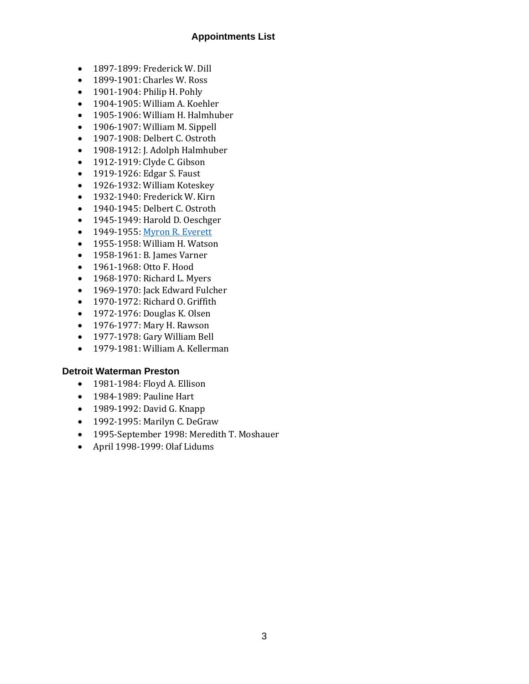# **Appointments List**

- 1897-1899: Frederick W. Dill
- 1899-1901: Charles W. Ross
- 1901-1904: Philip H. Pohly
- 1904-1905: William A. Koehler
- 1905-1906: William H. Halmhuber
- 1906-1907: William M. Sippell
- 1907-1908: Delbert C. Ostroth
- 1908-1912: J. Adolph Halmhuber
- 1912-1919: Clyde C. Gibson
- 1919-1926: Edgar S. Faust
- 1926-1932: William Koteskey
- 1932-1940: Frederick W. Kirn
- 1940-1945: Delbert C. Ostroth
- 1945-1949: Harold D. Oeschger
- 1949-1955[: Myron R. Everett](http://umcarchives.adrian.edu/clergy/everettmr.php)
- 1955-1958: William H. Watson
- 1958-1961: B. James Varner
- 1961-1968: Otto F. Hood
- 1968-1970: Richard L. Myers
- 1969-1970: Jack Edward Fulcher
- 1970-1972: Richard O. Griffith
- 1972-1976: Douglas K. Olsen
- 1976-1977: Mary H. Rawson
- 1977-1978: Gary William Bell
- 1979-1981: William A. Kellerman

#### **Detroit Waterman Preston**

- 1981-1984: Floyd A. Ellison
- 1984-1989: Pauline Hart
- 1989-1992: David G. Knapp
- 1992-1995: Marilyn C. DeGraw
- 1995-September 1998: Meredith T. Moshauer
- April 1998-1999: Olaf Lidums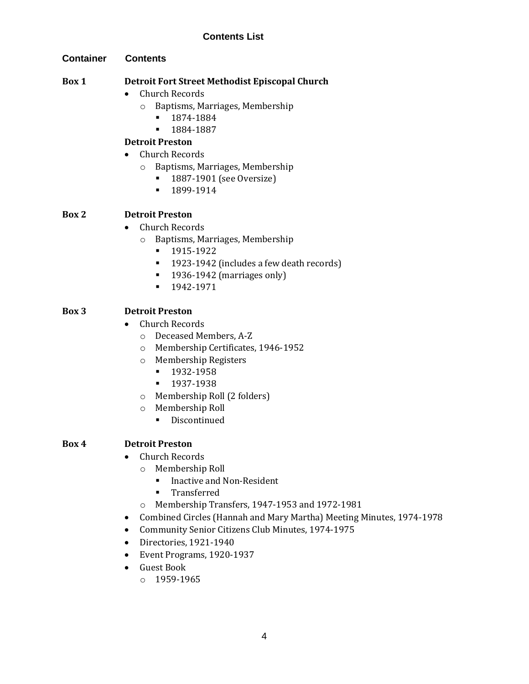# **Contents List**

**Container Contents**

### **Box 1 Detroit Fort Street Methodist Episcopal Church**

- Church Records
	- o Baptisms, Marriages, Membership
		- 1874-1884
		- 1884-1887

# **Detroit Preston**

- Church Records
	- o Baptisms, Marriages, Membership
		- 1887-1901 (see Oversize)
		- 1899-1914

#### **Box 2 Detroit Preston**

- Church Records
	- o Baptisms, Marriages, Membership
		- 1915-1922
		- 1923-1942 (includes a few death records)
		- 1936-1942 (marriages only)
		- 1942-1971

# **Box 3 Detroit Preston**

- Church Records
	- o Deceased Members, A-Z
	- o Membership Certificates, 1946-1952
	- o Membership Registers
		- 1932-1958
		- 1937-1938
	- o Membership Roll (2 folders)
	- o Membership Roll
		- Discontinued

# **Box 4 Detroit Preston**

- Church Records
	- o Membership Roll
		- Inactive and Non-Resident
		- Transferred
	- o Membership Transfers, 1947-1953 and 1972-1981
- Combined Circles (Hannah and Mary Martha) Meeting Minutes, 1974-1978
- Community Senior Citizens Club Minutes, 1974-1975
- Directories, 1921-1940
- Event Programs, 1920-1937
- Guest Book
	- o 1959-1965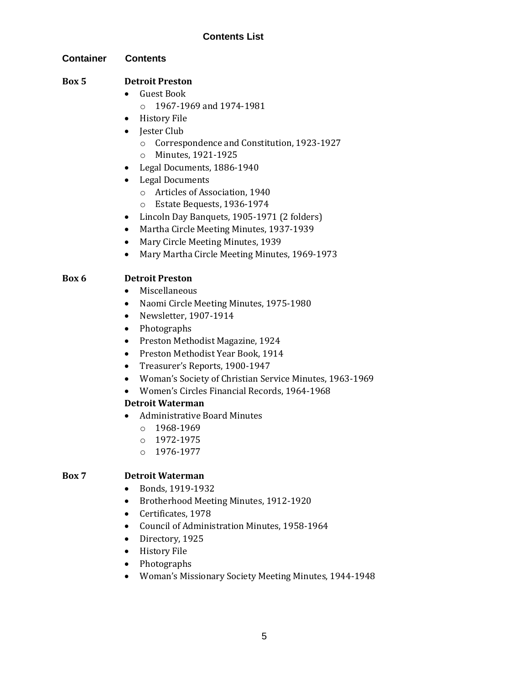# **Contents List**

#### **Container Contents**

# **Box 5 Detroit Preston**

- Guest Book
	- o 1967-1969 and 1974-1981
- History File
- Jester Club
	- o Correspondence and Constitution, 1923-1927
	- o Minutes, 1921-1925
- Legal Documents, 1886-1940
- Legal Documents
	- o Articles of Association, 1940
	- o Estate Bequests, 1936-1974
- Lincoln Day Banquets, 1905-1971 (2 folders)
- Martha Circle Meeting Minutes, 1937-1939
- Mary Circle Meeting Minutes, 1939
- Mary Martha Circle Meeting Minutes, 1969-1973

# **Box 6 Detroit Preston**

- Miscellaneous
- Naomi Circle Meeting Minutes, 1975-1980
- Newsletter, 1907-1914
- Photographs
- Preston Methodist Magazine, 1924
- Preston Methodist Year Book, 1914
- Treasurer's Reports, 1900-1947
- Woman's Society of Christian Service Minutes, 1963-1969
- Women's Circles Financial Records, 1964-1968

#### **Detroit Waterman**

- Administrative Board Minutes
	- o 1968-1969
	- o 1972-1975
	- o 1976-1977

#### **Box 7 Detroit Waterman**

- Bonds, 1919-1932
- Brotherhood Meeting Minutes, 1912-1920
- Certificates, 1978
- Council of Administration Minutes, 1958-1964
- Directory, 1925
- History File
- Photographs
- Woman's Missionary Society Meeting Minutes, 1944-1948